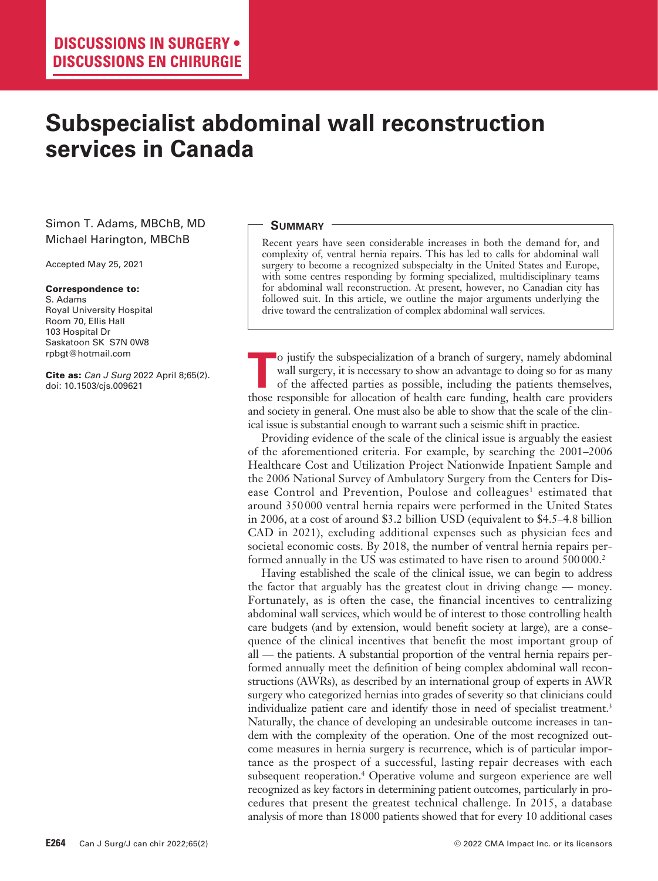# **Subspecialist abdominal wall reconstruction services in Canada**

# Simon T. Adams, MBChB, MD Michael Harington, MBChB

Accepted May 25, 2021

#### Correspondence to:

S. Adams Royal University Hospital Room 70, Ellis Hall 103 Hospital Dr Saskatoon SK S7N 0W8 rpbgt@hotmail.com

Cite as: *Can J Surg* 2022 April 8;65(2). doi: 10.1503/cjs.009621

### **Summary**

Recent years have seen considerable increases in both the demand for, and complexity of, ventral hernia repairs. This has led to calls for abdominal wall surgery to become a recognized subspecialty in the United States and Europe, with some centres responding by forming specialized, multidisciplinary teams for abdominal wall reconstruction. At present, however, no Canadian city has followed suit. In this article, we outline the major arguments underlying the drive toward the centralization of complex abdominal wall services.

**T** <sup>tho</sup> institute the subspecialization of a branch of surgery, namely abdominal wall surgery, it is necessary to show an advantage to doing so for as many of the affected parties as possible, including the patients them o justify the subspecialization of a branch of surgery, namely abdominal wall surgery, it is necessary to show an advantage to doing so for as many of the affected parties as possible, including the patients themselves, and society in general. One must also be able to show that the scale of the clinical issue is substantial enough to warrant such a seismic shift in practice.

Providing evidence of the scale of the clinical issue is arguably the easiest of the aforementioned criteria. For example, by searching the 2001–2006 Healthcare Cost and Utilization Project Nationwide Inpatient Sample and the 2006 National Survey of Ambulatory Surgery from the Centers for Disease Control and Prevention, Poulose and colleagues<sup>1</sup> estimated that around 350 000 ventral hernia repairs were performed in the United States in 2006, at a cost of around \$3.2 billion USD (equivalent to \$4.5–4.8 billion CAD in 2021), excluding additional expenses such as physician fees and societal economic costs. By 2018, the number of ventral hernia repairs performed annually in the US was estimated to have risen to around 500000.<sup>2</sup>

Having established the scale of the clinical issue, we can begin to address the factor that arguably has the greatest clout in driving change — money. Fortunately, as is often the case, the financial incentives to centralizing abdominal wall services, which would be of interest to those controlling health care budgets (and by extension, would benefit society at large), are a consequence of the clinical incentives that benefit the most important group of all — the patients. A substantial proportion of the ventral hernia repairs performed annually meet the definition of being complex abdominal wall reconstructions (AWRs), as described by an international group of experts in AWR surgery who categorized hernias into grades of severity so that clinicians could individualize patient care and identify those in need of specialist treatment.<sup>3</sup> Naturally, the chance of developing an undesirable outcome increases in tandem with the complexity of the operation. One of the most recognized outcome measures in hernia surgery is recurrence, which is of particular importance as the prospect of a successful, lasting repair decreases with each subsequent reoperation.<sup>4</sup> Operative volume and surgeon experience are well recognized as key factors in determining patient outcomes, particularly in procedures that present the greatest technical challenge. In 2015, a database analysis of more than 18000 patients showed that for every 10 additional cases